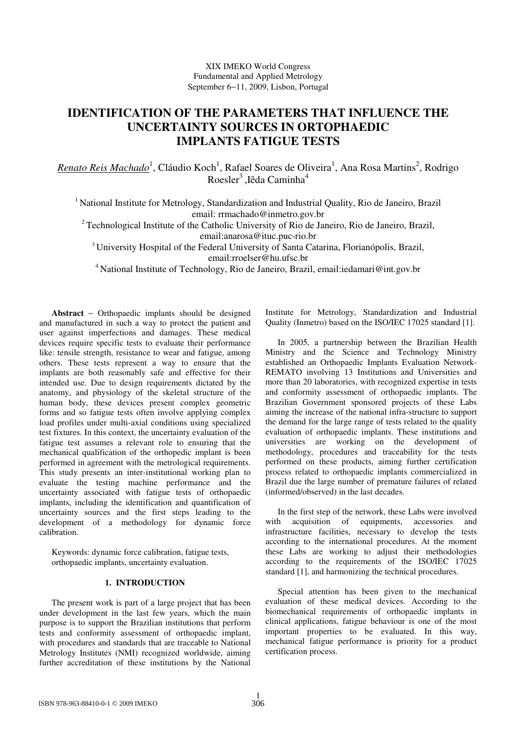# **IDENTIFICATION OF THE PARAMETERS THAT INFLUENCE THE UNCERTAINTY SOURCES IN ORTOPHAEDIC IMPLANTS FATIGUE TESTS**

*Renato Reis Machado* 1 , Cláudio Koch 1 , Rafael Soares de Oliveira 1 , Ana Rosa Martins 2 , Rodrigo Roesler 3 ,Iêda Caminha 4

<sup>1</sup> National Institute for Metrology, Standardization and Industrial Quality, Rio de Janeiro, Brazil email: rrmachado@inmetro.gov.br

<sup>2</sup> Technological Institute of the Catholic University of Rio de Janeiro, Rio de Janeiro, Brazil,

email:anarosa@ituc.puc-rio.br

<sup>3</sup> University Hospital of the Federal University of Santa Catarina, Florianópolis, Brazil,

email:rroelser@hu.ufsc.br

<sup>4</sup> National Institute of Technology, Rio de Janeiro, Brazil, email: iedamari@int.gov.br

**Abstract** − Orthopaedic implants should be designed and manufactured in such a way to protect the patient and user against imperfections and damages. These medical devices require specific tests to evaluate their performance like: tensile strength, resistance to wear and fatigue, among others. These tests represent a way to ensure that the implants are both reasonably safe and effective for their intended use. Due to design requirements dictated by the anatomy, and physiology of the skeletal structure of the human body, these devices present complex geometric forms and so fatigue tests often involve applying complex load profiles under multi-axial conditions using specialized test fixtures. In this context, the uncertainty evaluation of the fatigue test assumes a relevant role to ensuring that the mechanical qualification of the orthopedic implant is been performed in agreement with the metrological requirements. This study presents an inter-institutional working plan to evaluate the testing machine performance and the uncertainty associated with fatigue tests of orthopaedic implants, including the identification and quantification of uncertainty sources and the first steps leading to the development of a methodology for dynamic force calibration.

Keywords: dynamic force calibration, fatigue tests, orthopaedic implants, uncertainty evaluation.

# **1. INTRODUCTION**

The present work is part of a large project that has been under development in the last few years, which the main purpose is to support the Brazilian institutions that perform tests and conformity assessment of orthopaedic implant, with procedures and standards that are traceable to National Metrology Institutes (NMI) recognized worldwide, aiming further accreditation of these institutions by the National Institute for Metrology, Standardization and Industrial Quality (Inmetro) based on the ISO/IEC 17025 standard [1].

In 2005, a partnership between the Brazilian Health Ministry and the Science and Technology Ministry established an Orthopaedic Implants Evaluation Network-REMATO involving 13 Institutions and Universities and more than 20 laboratories, with recognized expertise in tests and conformity assessment of orthopaedic implants. The Brazilian Government sponsored projects of these Labs aiming the increase of the national infra-structure to support the demand for the large range of tests related to the quality evaluation of orthopaedic implants. These institutions and universities are working on the development of methodology, procedures and traceability for the tests performed on these products, aiming further certification process related to orthopaedic implants commercialized in Brazil due the large number of premature failures of related (informed/observed) in the last decades.

In the first step of the network, these Labs were involved with acquisition of equipments, accessories and infrastructure facilities, necessary to develop the tests according to the international procedures. At the moment these Labs are working to adjust their methodologies according to the requirements of the ISO/IEC 17025 standard [1], and harmonizing the technical procedures.

Special attention has been given to the mechanical evaluation of these medical devices. According to the biomechanical requirements of orthopaedic implants in clinical applications, fatigue behaviour is one of the most important properties to be evaluated. In this way, mechanical fatigue performance is priority for a product certification process.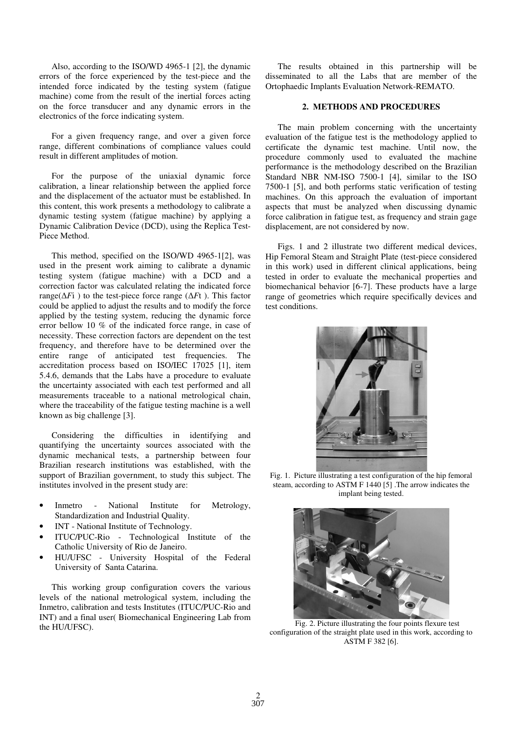Also, according to the ISO/WD 4965-1 [2], the dynamic errors of the force experienced by the test-piece and the intended force indicated by the testing system (fatigue machine) come from the result of the inertial forces acting on the force transducer and any dynamic errors in the electronics of the force indicating system.

For a given frequency range, and over a given force range, different combinations of compliance values could result in different amplitudes of motion.

For the purpose of the uniaxial dynamic force calibration, a linear relationship between the applied force and the displacement of the actuator must be established. In this content, this work presents a methodology to calibrate a dynamic testing system (fatigue machine) by applying a Dynamic Calibration Device (DCD), using the Replica Test-Piece Method.

This method, specified on the ISO/WD 4965-1[2], was used in the present work aiming to calibrate a dynamic testing system (fatigue machine) with a DCD and a correction factor was calculated relating the indicated force range( $\Delta F$ i) to the test-piece force range ( $\Delta F$ t). This factor could be applied to adjust the results and to modify the force applied by the testing system, reducing the dynamic force error bellow 10 % of the indicated force range, in case of necessity. These correction factors are dependent on the test frequency, and therefore have to be determined over the entire range of anticipated test frequencies. The accreditation process based on ISO/IEC 17025 [1], item 5.4.6, demands that the Labs have a procedure to evaluate the uncertainty associated with each test performed and all measurements traceable to a national metrological chain, where the traceability of the fatigue testing machine is a well known as big challenge [3].

Considering the difficulties in identifying and quantifying the uncertainty sources associated with the dynamic mechanical tests, a partnership between four Brazilian research institutions was established, with the support of Brazilian government, to study this subject. The institutes involved in the present study are:

- Inmetro National Institute for Metrology, Standardization and Industrial Quality.
- INT National Institute of Technology.
- ITUC/PUC-Rio Technological Institute of the Catholic University of Rio de Janeiro.
- HU/UFSC University Hospital of the Federal University of Santa Catarina.

This working group configuration covers the various levels of the national metrological system, including the Inmetro, calibration and tests Institutes (ITUC/PUC-Rio and INT) and a final user( Biomechanical Engineering Lab from the HU/UFSC).

The results obtained in this partnership will be disseminated to all the Labs that are member of the Ortophaedic Implants Evaluation Network-REMATO.

## **2. METHODS AND PROCEDURES**

The main problem concerning with the uncertainty evaluation of the fatigue test is the methodology applied to certificate the dynamic test machine. Until now, the procedure commonly used to evaluated the machine performance is the methodology described on the Brazilian Standard NBR NM-ISO 7500-1 [4], similar to the ISO 7500-1 [5], and both performs static verification of testing machines. On this approach the evaluation of important aspects that must be analyzed when discussing dynamic force calibration in fatigue test, as frequency and strain gage displacement, are not considered by now.

Figs. 1 and 2 illustrate two different medical devices, Hip Femoral Steam and Straight Plate (test-piece considered in this work) used in different clinical applications, being tested in order to evaluate the mechanical properties and biomechanical behavior [6-7]. These products have a large range of geometries which require specifically devices and test conditions.



Fig. 1. Picture illustrating a test configuration of the hip femoral steam, according to ASTM F 1440 [5] .The arrow indicates the implant being tested.



Fig. 2. Picture illustrating the four points flexure test configuration of the straight plate used in this work, according to ASTM F 382 [6].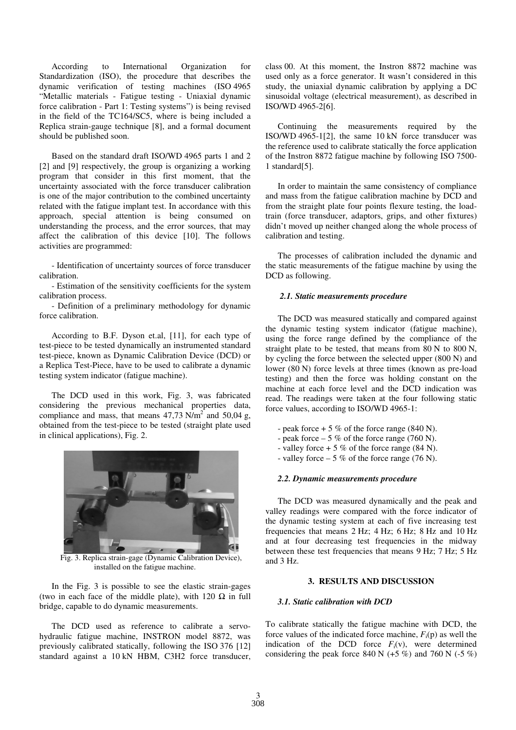According to International Organization for Standardization (ISO), the procedure that describes the dynamic verification of testing machines (ISO 4965 "Metallic materials - Fatigue testing - Uniaxial dynamic force calibration - Part 1: Testing systems") is being revised in the field of the TC164/SC5, where is being included a Replica strain-gauge technique [8], and a formal document should be published soon.

Based on the standard draft ISO/WD 4965 parts 1 and 2 [2] and [9] respectively, the group is organizing a working program that consider in this first moment, that the uncertainty associated with the force transducer calibration is one of the major contribution to the combined uncertainty related with the fatigue implant test. In accordance with this approach, special attention is being consumed on understanding the process, and the error sources, that may affect the calibration of this device [10]. The follows activities are programmed:

- Identification of uncertainty sources of force transducer calibration.

- Estimation of the sensitivity coefficients for the system calibration process.

- Definition of a preliminary methodology for dynamic force calibration.

According to B.F. Dyson et.al, [11], for each type of test-piece to be tested dynamically an instrumented standard test-piece, known as Dynamic Calibration Device (DCD) or a Replica Test-Piece, have to be used to calibrate a dynamic testing system indicator (fatigue machine).

The DCD used in this work, Fig. 3, was fabricated considering the previous mechanical properties data, compliance and mass, that means  $47,73$  N/m<sup>2</sup> and 50,04 g, obtained from the test-piece to be tested (straight plate used in clinical applications), Fig. 2.



Fig. 3. Replica strain-gage (Dynamic Calibration Device), installed on the fatigue machine.

In the Fig. 3 is possible to see the elastic strain-gages (two in each face of the middle plate), with 120  $\Omega$  in full bridge, capable to do dynamic measurements.

The DCD used as reference to calibrate a servohydraulic fatigue machine, INSTRON model 8872, was previously calibrated statically, following the ISO 376 [12] standard against a 10 kN HBM, C3H2 force transducer, class 00. At this moment, the Instron 8872 machine was used only as a force generator. It wasn't considered in this study, the uniaxial dynamic calibration by applying a DC sinusoidal voltage (electrical measurement), as described in ISO/WD 4965-2[6].

Continuing the measurements required by the ISO/WD 4965-1[2], the same 10 kN force transducer was the reference used to calibrate statically the force application of the Instron 8872 fatigue machine by following ISO 7500- 1 standard[5].

In order to maintain the same consistency of compliance and mass from the fatigue calibration machine by DCD and from the straight plate four points flexure testing, the loadtrain (force transducer, adaptors, grips, and other fixtures) didn't moved up neither changed along the whole process of calibration and testing.

The processes of calibration included the dynamic and the static measurements of the fatigue machine by using the DCD as following.

#### *2.1. Static measurements procedure*

The DCD was measured statically and compared against the dynamic testing system indicator (fatigue machine), using the force range defined by the compliance of the straight plate to be tested, that means from 80 N to 800 N, by cycling the force between the selected upper (800 N) and lower (80 N) force levels at three times (known as pre-load testing) and then the force was holding constant on the machine at each force level and the DCD indication was read. The readings were taken at the four following static force values, according to ISO/WD 4965-1:

- peak force  $+ 5 \%$  of the force range (840 N).
- peak force  $-5\%$  of the force range (760 N).
- valley force  $+ 5 \%$  of the force range (84 N).
- valley force  $-5\%$  of the force range (76 N).

#### *2.2. Dynamic measurements procedure*

The DCD was measured dynamically and the peak and valley readings were compared with the force indicator of the dynamic testing system at each of five increasing test frequencies that means 2 Hz; 4 Hz; 6 Hz; 8 Hz and 10 Hz and at four decreasing test frequencies in the midway between these test frequencies that means 9 Hz; 7 Hz; 5 Hz and 3 Hz.

### **3. RESULTS AND DISCUSSION**

# *3.1. Static calibration with DCD*

To calibrate statically the fatigue machine with DCD, the force values of the indicated force machine,  $F_i(p)$  as well the indication of the DCD force  $F_i(v)$ , were determined considering the peak force 840 N  $(+5\%)$  and 760 N  $(-5\%)$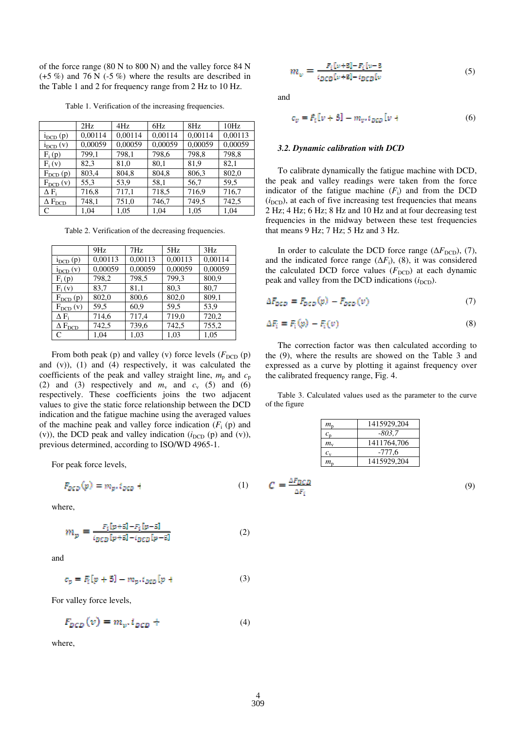of the force range (80 N to 800 N) and the valley force 84 N  $(+5\%)$  and 76 N  $(-5\%)$  where the results are described in the Table 1 and 2 for frequency range from 2 Hz to 10 Hz.

Table 1. Verification of the increasing frequencies.

|                            | 2Hz     | 4Hz     | 6Hz     | 8Hz     | 10Hz    |
|----------------------------|---------|---------|---------|---------|---------|
| $i_{DCD}$ $(p)$            | 0,00114 | 0,00114 | 0.00114 | 0,00114 | 0,00113 |
| $i_{DCD}(v)$               | 0,00059 | 0,00059 | 0,00059 | 0,00059 | 0,00059 |
| $F_i(p)$                   | 799,1   | 798,1   | 798,6   | 798,8   | 798,8   |
| $F_i(v)$                   | 82,3    | 81,0    | 80,1    | 81,9    | 82,1    |
| $F_{DCD}(p)$               | 803,4   | 804,8   | 804,8   | 806,3   | 802,0   |
| $F_{DCD}(v)$               | 55,3    | 53,9    | 58,1    | 56,7    | 59,5    |
| $\Delta F_i$               | 716,8   | 717,1   | 718,5   | 716,9   | 716,7   |
| $\Delta$ $\rm F_{\rm DCD}$ | 748,1   | 751,0   | 746,7   | 749,5   | 742,5   |
| $\mathcal{C}$              | 1.04    | 1.05    | 1.04    | 1,05    | 1.04    |

Table 2. Verification of the decreasing frequencies.

|                            | 9Hz     | 7Hz     | 5Hz     | 3Hz     |
|----------------------------|---------|---------|---------|---------|
| $i_{DCD}$ $(p)$            | 0,00113 | 0,00113 | 0,00113 | 0,00114 |
| $i_{DCD}(v)$               | 0,00059 | 0,00059 | 0,00059 | 0,00059 |
| $F_i(p)$                   | 798,2   | 798,5   | 799,3   | 800,9   |
| $F_i(v)$                   | 83,7    | 81,1    | 80,3    | 80,7    |
| $F_{DCD}(p)$               | 802,0   | 800,6   | 802,0   | 809,1   |
| $F_{DCD}(v)$               | 59,5    | 60,9    | 59,5    | 53,9    |
| $\Delta$ F,                | 714,6   | 717,4   | 719,0   | 720,2   |
| $\Delta$ $\rm F_{\rm DCD}$ | 742,5   | 739,6   | 742,5   | 755,2   |
| C                          | 1.04    | 1.03    | 1.03    | 1.05    |

From both peak (p) and valley (v) force levels  $(F_{DCD} (p)$ and (v)), (1) and (4) respectively, it was calculated the coefficients of the peak and valley straight line,  $m_p$  and  $c_p$ (2) and (3) respectively and  $m_v$  and  $c_v$  (5) and (6) respectively. These coefficients joins the two adjacent values to give the static force relationship between the DCD indication and the fatigue machine using the averaged values of the machine peak and valley force indication  $(F<sub>i</sub> (p)$  and (v)), the DCD peak and valley indication  $(i_{DCD} (p)$  and (v)), previous determined, according to ISO/WD 4965-1.

For peak force levels,

$$
F_{DCD}(p) = m_p, i_{DCD} \tag{1}
$$

where,

$$
m_p = \frac{F_i[p+5] - F_i[p-5]}{ip_{CD}[p+5] - ip_{CD}[p-5]}
$$
(2)

and

$$
c_p = F_i[p+5] - m_p \tcdot i_{QCD}[p+]
$$
 (3)

For valley force levels,

$$
F_{DCD}(v) = m_v, i_{DCD} + (4)
$$

where,

$$
m_{\nu} = \frac{F_{\rm f}[\nu + S] - F_{\rm f}[\nu - S]}{i_{DCD}[\nu + S] - i_{DCD}[\nu]}
$$
(5)

and

$$
c_v = F_i[v+5] - m_v, i_{DCD}[v+]
$$
 (6)

#### *3.2. Dynamic calibration with DCD*

To calibrate dynamically the fatigue machine with DCD, the peak and valley readings were taken from the force indicator of the fatigue machine  $(F<sub>i</sub>)$  and from the DCD  $(i<sub>DCD</sub>)$ , at each of five increasing test frequencies that means 2 Hz; 4 Hz; 6 Hz; 8 Hz and 10 Hz and at four decreasing test frequencies in the midway between these test frequencies that means 9 Hz; 7 Hz; 5 Hz and 3 Hz.

In order to calculate the DCD force range  $(\Delta F_{\text{DCD}})$ , (7), and the indicated force range  $(\Delta F_i)$ , (8), it was considered the calculated DCD force values  $(F_{DCD})$  at each dynamic peak and valley from the DCD indications  $(i_{DCD})$ .

$$
\Delta F_{DCD} = F_{DCD}(p) - F_{DCD}(v) \tag{7}
$$

$$
\Delta F_i = F_i(\omega) - F_i(\omega) \tag{8}
$$

The correction factor was then calculated according to the (9), where the results are showed on the Table 3 and expressed as a curve by plotting it against frequency over the calibrated frequency range, Fig. 4.

Table 3. Calculated values used as the parameter to the curve of the figure

| $m_{\rm n}$                   | 1415929.204 |
|-------------------------------|-------------|
| $c_{\rm n}$                   | $-803.7$    |
| $m_{\rm v}$                   | 1411764,706 |
| $c_{\rm v}$                   | -777.6      |
| $m_{\scriptscriptstyle\rm r}$ | 1415929,204 |

$$
C = \frac{\Delta F_{DCD}}{\Delta F_i} \tag{9}
$$